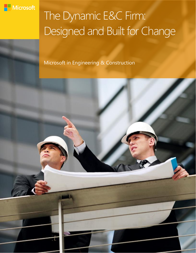

# The Dynamic E&C Firm: Designed and Built for Change

Microsoft in Engineering & Construction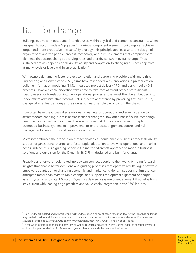# Built for change

Buildings evolve with occupants' intended uses, within physical and economic constraints. When designed to accommodate "upgrades" in various component elements, buildings can achieve longer and more productive lifespans.\* By analogy, this principle applies also to the design of organizations and the people, process, technology and culture elements that comprise them – elements that accept change at varying rates and thereby constrain overall change. Thus, sustained growth depends on flexibility, agility and adaptation to changing business objectives at many levels or layers within an organization. †

With owners demanding faster project completion and burdening providers with more risk, Engineering and Construction (E&C) firms have responded with innovations in prefabrication, building information modeling (BIM), integrated project delivery (IPD) and design-build (D-B) practices. However, each innovation takes time to take root as "front office" professionals specify needs for translation into new operational processes that must then be embedded into "back-office" administrative systems – all subject to acceptance by prevailing firm culture. So, change takes at least as long as the slowest or least flexible participant in the chain.

How often have great ideas died slow deaths waiting for operations and administration to accommodate enabling process or transactional changes? How often has inflexible technology been the root cause? Far too often. This is why more E&C firms are upgrading or replacing outmoded business systems to improve end-to-end process alignment, control and risk management across front- and back-office activities.

Microsoft embraces the proposition that technologies should enable business process flexibility, support organizational change, and foster rapid adaptation to evolving operational and market needs. Indeed, this is a guiding principle fueling the Microsoft approach to modern business solutions and our vision for the Dynamic E&C Firm, designed and built for change.

Proactive and forward-looking technology can connect people to their work, bringing forward insights that enable better decisions and guiding processes that optimize results. Agile software empowers adaptation to changing economic and market conditions. It supports a firm that can anticipate rather than react to rapid change, and supports the optimal alignment of people, assets, systems, and data. Microsoft Dynamics delivers a system of engagement that helps firms stay current with leading edge practices and value-chain integration in the E&C industry.

\* Frank Duffy articulated and Stewart Brand further developed a concept called "shearing layers," the idea that buildings may be designed to anticipate and tolerate change at various time horizons for component elements. For more, see Steward Brand's book *How Buildings Learn: What Happens After They're Built* (Penguin Books, 1995).

† In the world of information technology, IBM as well as research and advisory firm Gartner adapted shearing layers to outline principles for design of software and systems that adapt with the needs of businesses.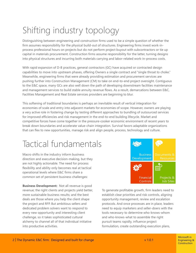# Shifting industry topology

Distinguishing between engineering and construction firms used to be a simple question of whether the firm assumes responsibility for the physical build-out of structures. Engineering firms invest work-inprocess professional hours on projects but do not perform project buyout with subcontractors or tie up capital in materials procurement. Construction firms assume responsibility for the latter, turning designs into physical structures and incurring both materials carrying and labor-related work-in-process costs.

With rapid expansion of D-B practices, general contractors (GC) have acquired or contracted design capabilities to move into upstream phases, offering Owners a single contract and "single throat to choke." Meanwhile, engineering firms that were already providing estimation and procurement services are pushing further into Construction Management (CM) to take on end-to-end project oversight. Contiguous to the E&C space, many GCs are also well down the path of developing downstream facilities maintenance and management services to build stable annuity revenue flows. As a result, demarcations between E&C, Facilities Management and Real Estate services providers are beginning to blur.

This softening of traditional boundaries is perhaps an inevitable result of vertical integration for economies of scale and entry into adjacent markets for economies of scope. However, owners are playing a very active role in fostering change by testing different approaches to bundling of outsourced services for improved efficiencies and risk management in the end-to-end building lifecycle. Market and competitive forces have come together in the pressure-cooker economic environment of recent years to break down boundaries and accelerate value-chain integration. Survival favors adaptable organizations that can flex to new opportunities, manage risk and align people, process, technology and culture.

### Tactical fundamentals

Macro shifts in the industry inform business direction and executive decision-making, but they are not highly actionable. The need for process flexibility and ability only becomes real at tactical operational levels where E&C firms share a common set of persistent business challenges:

**Business Development:** Not all revenue is good revenue; the right clients and projects yield better, more sustainable business results; and the best deals are those where you help the client shape the project and RFP. But ambitious sellers and dedicated problem solvers want to respond to every new opportunity and interesting client challenge, so it takes sophisticated cultural alchemy to channel all of that individual initiative into productive activities.



To generate profitable growth, firm leaders need to establish clear priorities and risk controls, aligning opportunity management, review and escalation protocols. And once processes are in place, leaders need to equip marketers and seller-doers with the tools necessary to determine who-knows-whom and who-knows-what to assemble the right pursuit teams rapidly, influence project formulation, create outstanding execution plans,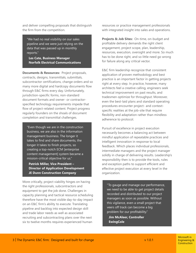and deliver compelling proposals that distinguish the firm from the competition.

"[We had no real visibility on our sales](http://www.microsoft.com/casestudies/Microsoft-Dynamics-CRM-4.0/Norfolk-Group-Limited/CRM-System-Streamlines-Sales-Process-for-Electrical-Services-Provider/4000005366)  pipeline and we were just relying on the data that was passed up in monthly reports."

**Les Cate, Business Manager Norfolk Electrical Communications**

**Documents & Resources:** Project proposals, contracts, designs, transmittals, submittals, subcontractor certifications, change orders and so many more digital and hardcopy documents flow through E&C firms every day. Unfortunately, jurisdiction-specific forms, non-standard document formats and owner- or contractorspecified technology requirements impede that flow of project-related content. Project progress regularly founders on the shoals of document completion and transmittal challenges.

"Even though we are in the construction business, we are also in the information management business. The longer it takes to find and share documents, the longer it takes to finish projects, so creating a top-notch ECM [enterprise [content management\] system became a](http://www.microsoft.com/casestudies/Microsoft-SharePoint-Server-2010/JE-Dunn-Construction-Company/National-Construction-Firm-Manages-1-Billion-in-Projects-with-New-Collaboration-Solution/710000001420)  mission-critical objective for us."

**Patrick Miller, Vice President – Director of Application Development JE Dunn Construction Company**

More critically, project viability hinges on having the right professionals, subcontractors and equipment to get the job done. Challenges in capacity planning and tactical resource scheduling therefore have the most visible day-to-day impact on an E&C firm's ability to execute. Translating pipeline and backlog into expected design skill and trade labor needs as well as associated recruiting and subcontracting plans over the next six to twelve months requires experienced human

resources or practice management professionals with integrated insight into sales and operations.

**Projects & Job Sites:** On-time, on-budget and profitable delivery demands the right client engagement, project scope, plan, leadership, resources, execution, oversight and more. So much has to be done right, and so little need go wrong for failure along any critical vector.

E&C firm leadership recognize that consistent application of proven methodology and best practice is an important factor in getting projects right at every step. In practice, however, many architects feel a creative calling, engineers seek technical improvement on past results, and tradesmen optimize for throughput. Moreover, even the best-laid plans and standard operating procedures encounter project- and contextspecific realities at the job-site that require flexibility and adaptation rather than mindless adherence to protocol.

Pursuit of excellence in project execution necessarily becomes a balancing act between mindful application of repeatable practices and intelligent innovation in response to local feedback. Which places individual professionals, intermediate managers and the project manager solidly in charge of delivering results. Leadership's responsibility then is to provide the tools, rules and exception paths to support efficient and effective project execution at every level in the organization.

"To gauge and manage our performance, [we need to be able to get project details](http://www.microsoft.com/casestudies/Microsoft-Dynamics-AX/EwingCole/Architecture-Firm-Strengthens-Project-Management-with-Integrated-Solution/4000004426)  recorded and distributed to our project managers as soon as possible. Without this vigilance, even a small project that veers off track can become a big problem for our profitability."

**Jim McAleer, Controller EwingCole**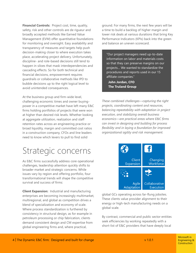**Financial Controls:** Project cost, time, quality, safety, risk and other controls are de rigueur and broadly accepted methods like Earned Value Management (EVM) offer quantitative foundations for monitoring and oversight. Easy availability and transparency of measures and targets help push decision-making closer to where execution takes place, accelerating project delivery. Unfortunately, discipline- and role-based decisions still tend to happen in siloes that mask interdependencies and cascading effects. So for both technical and financial decisions, empowerment requires guardrails or collaborative methods like IPD to bubble decisions up to the right logical level to avoid unintended consequences.

At the business group and firm-wide level, challenging economic times and owner buyingpower in a competitive market have left many E&C firms holding portfolios of projects that were won at higher than desired risk levels. Whether looking at aggregate utilization, realization and staff retention rates across an engineering practice or broad liquidity, margin and committed cost ratios in a construction company, CFOs and line leaders need to know which levers to pull to find solid

### Strategic concerns

As E&C firms successfully address core operational challenges, leadership attention quickly shifts to broader market and strategic concerns. While issues vary by region and offering portfolio, four transformational trends will shape the competitive survival and success of firms:

**Client Expansion:** Industrial and manufacturing enterprises are becoming increasingly multimarket, multiregional, and global as competition drives a blend of specialization and economy of scale. Where process standardization is furthered by consistency in structural design, as for example in petroleum processing or chip fabrication, clients demand consistent design and CM expertise from global engineering firms and, where practical,

ground. For many firms, the next few years will be a time to build a backlog of higher margin and lower risk deals at various durations that bring Key Performance Indicators (KPIs) back into the green and balance an uneven scorecard.

"Our project managers need up-to-date information on labor and materials costs [so that they can preserve margins on our](http://www.microsoft.com/casestudies/Microsoft-Dynamics-AX/Truland-Systems/Electrical-Contractor-Improves-Visibility-Across-15-Business-Units-with-Centralized-ERP-System/4000008066)  projects… We wanted to standardize the procedures and reports used in our 15 affiliate companies."

**John Jordan, CFO The Truland Group**

*These combined challenges—capturing the right projects, coordinating content and resources, balancing repeatability with adaptation in project execution, and stabilizing overall business economics—are practical areas where E&C firms can invest in designing and building for process flexibility and in laying a foundation for improved organizational agility and risk management.*



global GCs operating across far-flung jobsites. These clients value provider alignment to their energy or high-tech manufacturing needs on a global scale.

By contrast, commercial and public sector entities seek efficiencies by working repeatedly with a short-list of E&C providers that have deeply local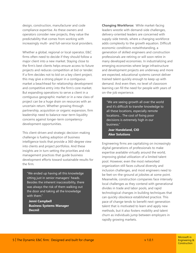design, construction, manufacturer and code compliance expertise. As these owners and operators consider new projects, they value the predictability that comes from working with increasingly multi- and full-service local providers.

Whether a global, regional or local operator, E&C firms often need to decide if they should follow a major client into a new market. Staying close to the firm's best clients helps ensure access to future projects and reduces competition at bid or tender. If a firm decides not to bid on a key client project, this may give a strong player in a contiguous market a beachhead for relationship development and competitive entry into the firm's core market. But expanding operations to serve a client in a contiguous geographic market or in a new class of project can be a huge drain on resources with an uncertain return. Whether growing through partnership, acquisition or organic expansion, firm leadership need to balance near-term liquidity concerns against longer-term competencydevelopment opportunities.

This client-driven and strategic decision-making challenge is fueling adoption of business intelligence tools that provide a 360-degree view into clients and project portfolios. And these insights are in turn setting the priorities and risk management practices that guide business development efforts toward sustainable results for the firm.

"We ended up having all this knowledge sitting just in senior managers' heads. [Besides the inherent inaccessibility, there](http://www.microsoft.com/casestudies/Case_Study_Detail.aspx?casestudyid=4000008820)  was always the risk of them walking out the door and taking all the knowledge with them."

**Jenni Campbell Business Systems Manager Decmil**

**Changing Workforce:** While market-facing leaders wrestle with demand-side challenges, delivery-oriented leaders are concerned with supply-side trends, where a changing workforce adds complexity to the growth equation. Difficult economic conditions notwithstanding, a generation of skilled engineers and construction professionals are retiring or will soon retire in many developed economies. In industrializing and emerging economies where large infrastructure and development projects are underway and more are expected, educational systems cannot deliver trained talent quickly enough to keep up with demand. And even then, no level of classroom learning can fill the need for people with years of on-the-job experience.

"[We are seeing growth all over the world](http://www.microsoft.com/casestudies/Case_Study_Detail.aspx?casestudyid=710000003023)  and it's difficult to transfer knowledge to all these locations, especially remote locations… The cost of fixing poor decisions is extremely high in our business."

**Joar Handeland, CIO Aker Solutions**

Engineering firms are capitalizing on increasingly digital generations of professionals to make expertise available virtually around the world, improving global utilization of a limited talent pool. However, even the most networked organization still faces cultural diversity and inclusion challenges, and most engineers need to be feet-on-the-ground at jobsites at some point. Meanwhile, construction companies face intensely local challenges as they contend with generational divides in trade and labor pools, and rapid technological changes in building techniques that can quickly obsolesce established practice. This pace of change tends to benefit next-generation talent that is motivated to learn and apply new methods, but it also fosters mobility and talent churn as individuals jump between employers in rapidly growing markets.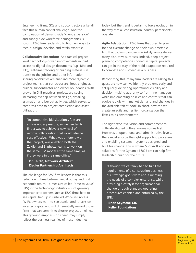Engineering firms, GCs and subcontractors alike all face this human capital challenge. And the combination of demand-side "client expansion" and supply-side workforce demographics is forcing E&C firm leadership to find new ways to recruit, assign, develop and retain expertise.

**Collaborative Execution:** At a tactical project level, technology-driven improvements in joint access to digital design documents (e.g., BIM and IPD), real-time tracking of building materials in transit to the jobsite, and other informationsharing capabilities are enabling more dynamic project teams that cut-across architect, engineer, builder, subcontractor and owner boundaries. With growth in D-B practices, projects are seeing increasing overlap between design, detailing, estimation and buyout activities, which serves to compress time to project completion and asset utilization.

"In competitive bid situations, fees are always under pressure, so we needed to find a way to achieve a new level of remote collaboration that would also be cost-effective… What was different with the [project] was enabling both the Zeidler and Snøhetta teams to work on [the same BIM model at the same time, as](http://www.microsoft.com/casestudies/Case_Study_Detail.aspx?casestudyid=4000010153)  if they were in the same office."

#### **Ian Fairlie, Network Architect Ziedler Partnership Architects** The Talthough we certainly had to fulfill the

The challenge for E&C firm leaders is that this reduction in time between initial outlay and first economic return – a measure called "time to value" (TtV) in the technology industry – is of growing importance to owners. Just as E&C firms hate to see capital tied up in unbilled Work-in-Process (WIP), owners want to see accelerated returns on invested capital and will differentially reward those firms that can commit to shorter project timelines. This growing emphasis on speed may simply reflect the business realities of most industries

today, but the trend is certain to force evolution in the way that all construction industry participants operate.

**Agile Adaptation:** E&C firms that used to plan for and execute change on their own timetable find that today's complex market dynamics deliver many disruptive surprises. Indeed, deep project planning competencies honed in capital projects can get in the way of the rapid adaptation required to compete and succeed as a business.

Recognizing this, many firm leaders are asking this question: how can we identify problems early and act quickly, delivering operational visibility and decision-making authority to front-line managers while implementing policies and controls that can evolve rapidly with market demand and changes in the available talent pool? In short, how can we create an agile and resilient organization that flexes to its environment?

The right executive vision and commitment to cultivate aligned cultural norms comes first. However, at operational and administrative levels, there must also be the right supporting processes and enabling systems – systems designed and built for change. This is where Microsoft and our solutions for the Dynamic E&C Firm can help firm leadership build for the future.

requirements of a construction business, our strategic goals were about meeting the needs of a complex enterprise, while providing a catalyst for organizational change through standard operating [procedures enabled and enforced by the](http://www.microsoft.com/casestudies/Microsoft-Dynamics-AX/Keller-Foundations/Construction-Company-Supports-End-to-End-Processes-Growth-with-ERP/710000002539)  ERP.."

**Brian Seymour, CIO Keller Foundations**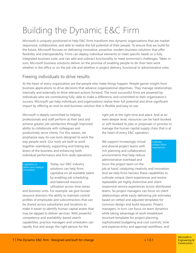# Building the Dynamic E&C Firm

Microsoft is uniquely positioned to help E&C firms transform into dynamic organizations that are market responsive, collaborative, and able to realize the full potential of their people. To ensure that we build for the future, Microsoft focuses on delivering innovative, proactive, modern business solutions that offer flexibility and interoperability. Firms can deploy individual elements to meet specific needs or a fully integrated business suite, and can add and subtract functionality to meet tomorrow's challenges. Taken in sum, Microsoft business solutions deliver on the promise of enabling people to do their best work whether in the office or on the job site and whether in project delivery, functional or administrative roles.

### Freeing individuals to drive results

At the heart of every organization are the people who make things happen. People garner insight from business applications to drive decisions that advance organizational objectives. They manage relationships internally and externally to drive relevant actions forward. The most successful firms are powered by individuals who are contributing fully, able to make a difference, and committed to their organization's success. Microsoft can help individuals and organizations realize their full potential and drive significant impact by offering an end-to-end business solution that is flexible and easy to use.

Microsoft is deeply committed to helping professionals and staff perform at their best and achieve greater job satisfaction through improved ability to collaborate with colleagues and productively serve clients. For this reason, we emphasize easy-to-use tools designed to work the way people work. Our tools are built to work together seamlessly, supporting and linking key levers of the business and enhancing both individual performance and firm-wide operations.

Capitalize on talent and catalyze innovation

Today, our E&C industry solutions can help firms capitalize on all available talent by enabling job scheduling and balanced resource utilization across time zones

and business units. For example, we give human resource directors the ability to maintain central profiles of employees and subcontractors that can be shared across subsidiaries and locations to make it easier to identify human capital assets that may be tapped to deliver services. With powerful competency and availability-based search capabilities, practice managers and schedulers can rapidly find and assign the right person for the

right job at the right time and place. And at an even deeper level, resources can be hard-booked or soft-booked to jobs or proposals-in-process to manage the human capital supply chain that is at the heart of every E&C operation.

We support increasingly virtual and diverse project teams with rich planning and collaboration environments that help reduce administrative overhead and focus the project team on the

unique client experiences

**Cultivate** 

job at hand, catalyzing creativity and innovation. And we help firms harness these capabilities to cultivate unique client experiences and evolve repeatable yet highly distinctive and clientresponsive service experiences across distributed teams. So project managers can focus on client relationships while easily delivering job estimates based on vetted and adjusted templates for common design and build requests. Project managers, in turn, can focus on team dynamics while taking advantage of work-breakdown structure templates for project planning, sophisticated budgeting and cost controls, time and expense entry and approval workflows, and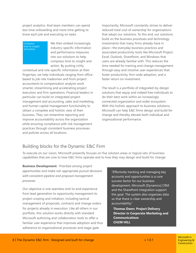project analytics. And team members can spend less time onboarding and more time getting to know each job and executing on tasks.

**Compress** time to insight and action

We then embed increasingly industry-specific information and performance measures into our solutions to help compress time to insight and action. By putting richly

contextual and role-specific information at their fingertips, we help individuals ranging from officebased to job-site tradesmen and from project accountants to compensation analysts work smarter, streamlining and accelerating project execution and firm operations. Financial leaders in particular can build on integrated project management and accounting, sales and marketing, and human capital management functionality to obtain a complete and holistic view of their business. They can streamline reporting and improve accountability across the organization while ensuring compliance with risk management practices through consistent business processes and policies across all locations.

Importantly, Microsoft constantly strives to deliver reduced total cost of ownership for organizations that adopt our solutions. To this end, our solutions build on the business processes and technology investments that many firms already have in place—the everyday business practices and associated productivity tools like Microsoft Project, Excel, Outlook, SharePoint, and Windows that users are already familiar with. This reduces the time needed for training and change management through easy and intuitive user experiences that foster productivity, firm-wide adoption, and a faster return on investment.

The result is a portfolio of integrated-by-design solutions that equip and indeed free individuals to do their best work within an increasingly connected organization and wider ecosystem. With this holistic approach to business solutions, Microsoft can help E&C firms design and build for change and thereby elevate both individual and organizational performance.

### Building blocks for the Dynamic E&C Firm

To execute on our vision, Microsoft presently focuses on five solution areas or logical sets of business capabilities that are core to how E&C firms operate and to how they may design and build for change:

**Business Development:** *Prioritize among project opportunities and make risk-appropriate pursuit decisions with consistent pipeline and proposal management processes.*

Our objective is one seamless end-to-end experience from lead generation to opportunity management to project scoping and initiation, including tactical management of proposals, contracts and change orders for projects already in execution. Like all others in our portfolio, this solution works directly with standard Microsoft authoring and collaboration tools to offer a familiar user experience that improves adoption and thus adherence to organizational processes and stage-gate

"Effectively tracking and managing key accounts and opportunities is a core success factor for our business [development. Microsoft \[Dynamics\] CRM](http://www.microsoft.com/casestudies/Case_Study_Detail.aspx?casestudyid=4000001814)  and the SharePoint integration support this goal. The system also organizes data so that there is clear ownership and accountability."

**Thomas Doerr, Project Delivery Director in Corporate Marketing and Communications CH2M HILL**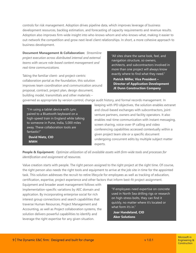controls for risk management. Adoption drives pipeline data, which improves leverage of business development resources, backlog estimation, and forecasting of capacity requirements and revenue results. Adoption also improves firm-wide insight into who-knows-whom and who-knows-what, making it easier to out-network the competition and grow next-level client relationships. In short, a more cohesive approach to business development.

**Document Management & Collaboration:** *Streamline project execution across distributed internal and external teams with secure role-based content management and real-time communications.*

Taking the familiar client- and project-centric collaboration portal as the foundation, this solution improves team coordination and communication around proposal, contract, project plan, design document, building model, transmittals and other materials –

"All sites share the same look, feel, and navigation structure, so owners, [architects, and subcontractors involved in](http://www.microsoft.com/casestudies/Microsoft-SharePoint-Server-2010/JE-Dunn-Construction-Company/National-Construction-Firm-Manages-1-Billion-in-Projects-with-New-Collaboration-Solution/710000001420)  more than one project will always know exactly where to find what they need."

**Patrick Miller, Vice President – Director of Application Development JE Dunn Construction Company**

governed as appropriate by version control, change audit history, and formal records management. In

"I'm using a tablet device with Lync paired to a Bluetooth keyboard on a [high-speed train in England while talking](http://www.microsoft.com/casestudies/Case_Study_Detail.aspx?casestudyid=710000003050)  to someone in Pune, India, 5,000 miles away. These collaboration tools are fantastic!"

**David Nietz, CIO MWH**

keeping with IPD objectives, the solution enables extranet and cloud-based exchanges with subcontractors, jointventure partners, owners and facility operators. It also enables real-time communication with instant messaging, screen sharing, voice-over-IP calling and video conferencing capabilities accessed contextually within a given project team site or a specific document undergoing concurrent edits by multiple subject matter experts.

#### **People & Equipment:** *Optimize utilization of all available assets with firm-wide tools and processes for identification and assignment of resources.*

Value creation starts with people. The right person assigned to the right project at the right time. Of course, the right person also needs the right tools and equipment to arrive at the job site in time for the appointed task. This solution addresses the recruit-to-retire lifecycle for employees as well as tracking of education, certification, expertise, project experience and other factors that inform best-fit project assignment.

Equipment and broader asset management follows with implementation-specific variations by AEC domain and application. By incorporating enterprise social for rich interest group connections and search capabilities that traverse Human Resources, Project Management and Accounting, as well as Project collaboration systems, the solution delivers powerful capabilities to identify and leverage the right expertise for any given situation.

"[If employees need expertise on concrete](http://www.microsoft.com/casestudies/Case_Study_Detail.aspx?casestudyid=710000003023)  used in North Sea drilling rigs or research on high-stress bolts, they can find it quickly, no matter where it's located or what form it's in."

**Joar Handeland, CIO Aker Solutions**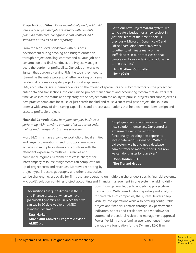**Projects & Job Sites:** *Drive repeatability and profitability into every project and job site activity with reusable planning templates, configurable cost controls, and standard as well as ad hoc reporting.*

From the high-level handshake with business development during scoping and budget quotation, through project detailing, contract and buyout, job-site construction and final handover, the Project Manager bears the burden of profitability. Our solution works to lighten that burden by giving PMs the tools they need to streamline the entire process. Whether working on a small residential or a major capital project in civil engineering,

"With our new Project Wizard system, we can create a budget for a new project in just one-tenth of the time it took us previously. Microsoft Dynamics AX and Office SharePoint Server 2007 work together to eliminate many of the inefficiencies in our processes so that [people can focus on tasks that add value](http://www.microsoft.com/casestudies/Microsoft-Dynamics-AX/EwingCole/Architecture-Firm-Strengthens-Project-Management-with-Integrated-Solution/4000004426)  to the business."

**Jim McAleer, Controller EwingCole**

PMs, accountants, site superintendents and the myriad of specialists and subcontractors on the project can enter data and transactions into one unified project management and accounting system that delivers realtime views into the status and trajectory of the project. With the ability to publish projects and subprojects as best practice templates for reuse or just search for, find and reuse a successful past project, the solution offers a wide array of time saving capabilities and process automations that help team members design and execute profitable projects.

**Financial Control:** *Know how your complex business is performing with "anytime anywhere" access to essential metrics and role-specific business processes.*

Most E&C firms have a complex portfolio of legal entities and larger organizations need to support employee activities in multiple locations and countries with the attendant exposure to multiple currencies and compliance regimes. Settlement of cross-charges for intercompany resource assignments can complicate rollup of project costs and revenues. Moreover, reporting by project type, industry, geography and other perspectives

"Employees can do a lot more with the new solution themselves. Our controller experiments with the reporting functionality, creating new reports to investigate various scenarios. With our old system, we had to get a database administrator to modify reports, but now we can do it faster by ourselves."

**John Jordan, CFO The Truland Group**

can be challenging, especially for firms that are operating on multiple niche or geo-specific financial systems. Microsoft's solution combines project accounting and financial management in one system, enabling drill-

"Acquisitions are quite difficult in the HR and Finance areas, but when we have [\[Microsoft Dynamics AX\] in place then we](http://www.microsoft.com/casestudies/Microsoft-Dynamics-AX-2012/AMEC-PLC/Global-construction-giant-speeds-consolidation-of-acquired-businesses-to-achieve-tighter-company-integration/710000003230)  can say in 90 days you're on AMEC standard systems."

**Russ Harker MDAX and Convero Program Advisor AMEC plc**

down from general ledger to underlying project-level transactions. With consolidation reporting and analysis for hierarchies of companies, the system delivers deep visibility into operations while also offering configurable project and financial controls through key performance indicators, notices and escalations, and workflows for automated procedural review and management approval. Power, flexibility and a familiar user experience in one package – a foundation for the Dynamic E&C firm.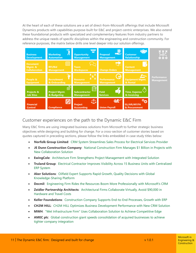At the heart of each of these solutions are a set of direct-from-Microsoft offerings that include Microsoft Dynamics products with capabilities purpose-built for E&C and project-centric enterprises. We also extend these foundational products with specialized and complementary features from industry partners to address the unique needs of specific disciplines within the engineering and construction community. For reference purposes, the matrix below drills one level deeper into our solution offerings.



### Customer experiences on the path to the Dynamic E&C Firm

Many E&C firms are using integrated business solutions from Microsoft to further strategic business objectives while designing and building for change. For a cross-section of customer stories based on quotes captured in preceding sections, please follow the links embedded in case study titles below:

- **Norfolk Group Limited**: [CRM System Streamlines Sales Process for Electrical Services Provider](http://www.microsoft.com/casestudies/Microsoft-Dynamics-CRM-4.0/Norfolk-Group-Limited/CRM-System-Streamlines-Sales-Process-for-Electrical-Services-Provider/4000005366)
- **JE Dunn Construction Company**: [National Construction Firm Manages \\$1 Billion in Projects with](http://www.microsoft.com/casestudies/Microsoft-SharePoint-Server-2010/JE-Dunn-Construction-Company/National-Construction-Firm-Manages-1-Billion-in-Projects-with-New-Collaboration-Solution/710000001420)  [New Collaboration Solution](http://www.microsoft.com/casestudies/Microsoft-SharePoint-Server-2010/JE-Dunn-Construction-Company/National-Construction-Firm-Manages-1-Billion-in-Projects-with-New-Collaboration-Solution/710000001420)
- **EwingCole**: [Architecture Firm Strengthens Project Management with Integrated Solution](http://www.microsoft.com/casestudies/Microsoft-Dynamics-AX/EwingCole/Architecture-Firm-Strengthens-Project-Management-with-Integrated-Solution/4000004426)
- **Truland Group**: Electrical Contractor Improves Visibility Across 15 Business Units with Centralized [ERP System](http://www.microsoft.com/casestudies/Microsoft-Dynamics-AX/Truland-Systems/Electrical-Contractor-Improves-Visibility-Across-15-Business-Units-with-Centralized-ERP-System/4000008066)
- **Aker Solutions**: [Oilfield Expert Supports Rapid Growth, Quality Decisions with Global](http://www.microsoft.com/casestudies/Case_Study_Detail.aspx?casestudyid=710000003023)  [Knowledge-Sharing Platform](http://www.microsoft.com/casestudies/Case_Study_Detail.aspx?casestudyid=710000003023)
- **Decmil:** [Engineering Firm Rides the Resources Boom More Professionally](http://www.microsoft.com/casestudies/Case_Study_Detail.aspx?casestudyid=4000008820) with Microsoft's CRM
- **Zeidler Partnership Architects**: [Architectural Firms Collaborate Virtually, Avoid \\$90,000 in](http://www.microsoft.com/casestudies/Case_Study_Detail.aspx?casestudyid=4000010153)  [Hardware and Travel Costs](http://www.microsoft.com/casestudies/Case_Study_Detail.aspx?casestudyid=4000010153)
- **Keller Foundations**: [Construction Company Supports End-to-End Processes, Growth with ERP](http://www.microsoft.com/casestudies/Microsoft-Dynamics-AX/Keller-Foundations/Construction-Company-Supports-End-to-End-Processes-Growth-with-ERP/710000002539)
- **CH2M HILL**: [CH2M HILL Optimizes Business Development Performance with New CRM Solution](http://www.microsoft.com/casestudies/Case_Study_Detail.aspx?casestudyid=4000001814)
- **MWH**: ["Wet Infrastructure Firm" Uses Collaboration Solution to Achieve Competitive Edge](http://www.microsoft.com/casestudies/Case_Study_Detail.aspx?casestudyid=710000003050)
- **AMEC plc**: Global construction giant speeds consolidation of acquired businesses to achieve [tighter company integration](http://www.microsoft.com/casestudies/Microsoft-Dynamics-AX-2012/AMEC-PLC/Global-construction-giant-speeds-consolidation-of-acquired-businesses-to-achieve-tighter-company-integration/710000003230)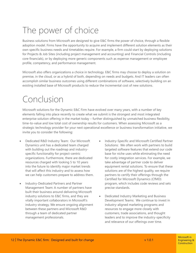# The power of choice

Business solutions from Microsoft are designed to give E&C firms the power of choice, through a flexible adoption model. Firms have the opportunity to acquire and implement different solution elements as their own specific business needs and timetables require. For example, a firm could start by deploying solutions for Projects & Job Sites (including project management and accounting) and Financial Controls (including core financials), or by deploying more generic components such as expense management or employee profile, competency, and performance management.

Microsoft also offers organizations a choice in technology. E&C firms may choose to deploy a solution on premise, in the cloud, or as a hybrid of both, depending on needs and budgets. And IT leaders can often accomplish similar business outcomes using different combinations of software, selectively building on an existing installed base of Microsoft products to reduce the incremental cost of new solutions.

### Conclusion

Microsoft solutions for the Dynamic E&C Firm have evolved over many years, with a number of key elements falling into place recently to create what we submit is the strongest and most integrated enterprise solution offering in the market today – further distinguished by unmatched business flexibility, time-to-value and low total cost of ownership results for customers. When assessing Microsoft as a strategic technology provider for your next operational excellence or business transformation initiative, we invite you to consider the following:

- Dedicated R&D Industry Team: Our Microsoft Dynamics unit has a dedicated team charged with building out the roadmap and industryspecific functionality for project-centric organizations. Furthermore, there are dedicated resources charged with looking 5 to 10 years into the future to identify major market trends that will affect this industry and to assess how we can help customers prepare to address them.
- Industry-Dedicated Partners and Partner Management Team: A number of partners have built their business around delivering Microsoft industry solutions to E&C firms, and they are vitally important collaborators in Microsoft's industry strategy. We ensure ongoing alignment between these partners and Microsoft R&D through a team of dedicated partner management professionals.
- Industry-Specific and Microsoft Certified Partner Solutions: We often work with partners to build targeted software features that extend our code base for niche uses while eliminating the need for costly integration services. For example, we take advantage of partner code to deliver equipment rental solutions. To ensure that these solutions are of the highest quality, we require partners to certify their offerings through the Certified for Microsoft Dynamics (CfMD) program, which includes code reviews and sets precise standards.
- Dedicated Industry Marketing and Business Development Teams: We continue to invest in industry-aligned marketing programs and resources to engage more closely with customers, trade associations, and thought leaders and to improve the industry-specificity and relevance of our offerings over time.